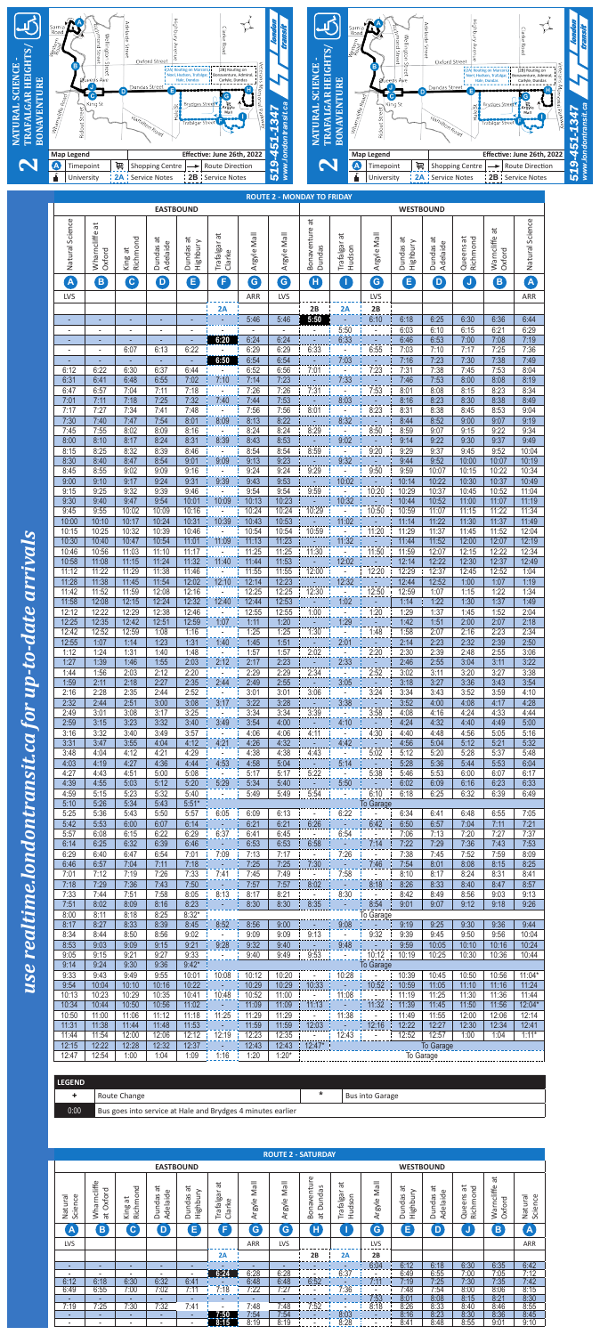

| <b>LEGEND</b> |                                                             |         |                              |
|---------------|-------------------------------------------------------------|---------|------------------------------|
|               | Route Change                                                | $\star$ | <sup>I</sup> Bus into Garage |
| 0:00          | Bus goes into service at Hale and Brydges 4 minutes earlier |         |                              |

|                          |                                    |                          |                                                  |                                      |                              |                       |                       | <b>ROUTE 2 - SATURDAY</b>                                |                              |                |                                  |                                 |                                   |                           |                         |
|--------------------------|------------------------------------|--------------------------|--------------------------------------------------|--------------------------------------|------------------------------|-----------------------|-----------------------|----------------------------------------------------------|------------------------------|----------------|----------------------------------|---------------------------------|-----------------------------------|---------------------------|-------------------------|
|                          |                                    |                          |                                                  | <b>EASTBOUND</b>                     |                              |                       |                       |                                                          |                              |                |                                  | <b>WESTBOUND</b>                |                                   |                           |                         |
| Natural<br>Science       | Wharncliffe<br>Oxford<br>$\vec{a}$ | Richmond<br>đ<br>King    | ä<br>Φ<br>$\mathfrak{c}$<br>Adelaid<br>unda<br>≏ | $\overline{a}$<br>Highbury<br>Dundas | ä<br>Ф<br>Trafalga<br>Clarke | <b>IleM</b><br>Argyle | <b>Mall</b><br>Argyle | ഉ<br>naventu<br>S<br>Б<br><b>Dund</b><br>BO<br>$\vec{a}$ | đ<br>ㅎ<br>Hudson<br>Trafalga | lleM<br>Argyle | ä<br>≻<br>Highbury<br>S<br>Dunda | ಸ<br>Φ<br>S<br>Adelaid<br>Dunda | ಸ<br><u>더</u><br>Queens<br>Richmo | ä<br>Warncliffe<br>Oxford | Natural<br>Science      |
| $\overline{\mathsf{A}}$  | B                                  | $\mathbf C$              | D                                                | E                                    | F                            | G                     | G                     | Ή                                                        |                              | G              | E                                | D                               | J                                 | $\mathbf{B}$              | $\overline{\mathsf{A}}$ |
| <b>LVS</b>               |                                    |                          |                                                  |                                      |                              | <b>ARR</b>            | <b>LVS</b>            |                                                          |                              | LVS            |                                  |                                 |                                   |                           | ARR                     |
|                          |                                    |                          |                                                  |                                      | 2A                           |                       |                       | 2B                                                       | 2A                           | 2B             |                                  |                                 |                                   |                           |                         |
|                          |                                    |                          | $\overline{\phantom{0}}$                         | -                                    |                              | -                     | ۰                     |                                                          |                              | 6:04           | 6:12                             | 6:18                            | 6:30                              | 6:35                      | 6:42                    |
| $\overline{\phantom{a}}$ | $\overline{\phantom{a}}$           | $\overline{\phantom{a}}$ | $\overline{a}$                                   | $\overline{\phantom{a}}$             | 6:24                         | 6:28                  | 6:28                  |                                                          | 6:37                         |                | 6:49                             | 6:55                            | 7:00                              | 7:05                      | 7:12                    |
| 6:12                     | 6:18                               | 6:30                     | 6:32                                             | 6:41                                 |                              | 6:48                  | 6:48                  | 6:52                                                     |                              | 7:11           | 7:19                             | 7:25                            | 7:30                              | 7:35                      | 7:42                    |
| 6:49                     | 6:55                               | 7:00                     | 7:02                                             | 7:11                                 | 7:18                         | 7:22                  | 7:27                  |                                                          | 7:36                         |                | 7:48                             | 7:54                            | 8:00                              | 8:06                      | 8:15                    |
| -                        | -                                  | ٠                        | $\overline{\phantom{a}}$                         | -                                    |                              |                       | ۰                     |                                                          | -                            | 7:53           | 8:01                             | 8:08                            | 8:15                              | 8:21                      | 8:30                    |
| 7:19                     | 7:25                               | 7:30                     | 7:32                                             | 7:41                                 |                              | 7:48                  | 7:48                  | 7:52                                                     |                              | 8:18           | 8:26                             | 8:33                            | 8:40                              | 8:46                      | 8:55                    |
| -                        |                                    | ٠                        |                                                  |                                      | 7:50                         | 7:54                  | 7:54                  | ۰                                                        | 8:03                         | ٠              | 8:16                             | 8:23                            | 8:30                              | 8:36                      | 8:45                    |
| $\overline{\phantom{0}}$ | $\overline{\phantom{a}}$           | $\overline{\phantom{a}}$ | $\overline{a}$                                   | ۰                                    | 8:15                         | 8:19                  | 8:19                  |                                                          | 8:28                         |                | 8:41                             | 8:48                            | 8:55                              | 9:01                      | 9:10                    |

|                               |                               |                          |                          | <b>EASTBOUND</b>         |                                      |                | <b>ROUTE 2 - MONDAY TO FRIDAY</b> |                                         |                                      |                                   | <b>WESTBOUND</b>        |                                           |                       |                         |                   |
|-------------------------------|-------------------------------|--------------------------|--------------------------|--------------------------|--------------------------------------|----------------|-----------------------------------|-----------------------------------------|--------------------------------------|-----------------------------------|-------------------------|-------------------------------------------|-----------------------|-------------------------|-------------------|
| Natural Science               | ä<br>Wharncliffe<br>Oxford    | Richmond<br>King at      | ä<br>Adelaide<br>Dundas  | đ<br>Highbury<br>Dundas  | ä<br>Trafalgar<br>Clarke             | Argyle Mall    | Argyle Mall                       | $\vec{a}$<br>Bonaventure<br>Dundas      | ä<br>Trafalgar<br>Hudson             | Argyle Mall                       | đ<br>Highbury<br>Dundas | ä<br>$\mathbbmss{D}$<br>Dundas<br>Adelaid | Queens at<br>Richmond | Warncliffe at<br>Oxford | Natural Science   |
| A                             | B)                            | $\mathbf{G}$             | $\boldsymbol{\Theta}$    | 6                        | O                                    | $\epsilon$     | G                                 | $\bullet$                               | $\blacksquare$                       | G                                 | 0                       | $\overline{D}$                            | $\mathbf{J}$          | 8                       | A                 |
| <b>LVS</b>                    |                               |                          |                          |                          | 2A                                   | ARR            | LVS                               | 2B                                      |                                      | LVS<br>2B                         |                         |                                           |                       |                         | ARR               |
| ÷                             | ٠                             | ٠                        |                          |                          |                                      | 5:46           | 5:46                              | 5:50                                    | 2A                                   | 6:10                              | 6:18                    | 6:25                                      | 6:30                  | 6:36                    | 6:44              |
| $\blacksquare$                | $\blacksquare$                | $\overline{\phantom{a}}$ | $\overline{\phantom{a}}$ | $\overline{\phantom{a}}$ |                                      | $\sim$         | $\blacksquare$                    |                                         | 5:50                                 | $\Box$                            | 6:03                    | 6:10                                      | 6:15                  | 6:21                    | 6:29              |
| ٠<br>$\overline{\phantom{a}}$ | ٠<br>$\overline{\phantom{a}}$ | 6:07                     | 6:13                     | 6:22                     | 6:20                                 | 6:24<br>6:29   | 6:24<br>6:29                      | 6:33                                    | 6:33<br>$\overline{\phantom{a}}$     | 6:55                              | 6:46<br>7:03            | 6:53<br>7:10                              | 7:00<br>7:17          | 7:08<br>7:25            | 7:19<br>7:36      |
| ٠                             |                               | $\blacksquare$           | $\sim$                   | ÷,                       | 6:50                                 | 6:54           | 6:54                              |                                         | 7:03<br>$\overline{\phantom{a}}$     | ÷,                                | 7:16                    | 7:23                                      | 7:30                  | 7:38                    | 7:49              |
| 6:12<br>6:31                  | 6:22<br>6:41                  | 6:30<br>6:48             | 6:37<br>6:55             | 6:44<br>7:02             | 7:10                                 | 6:52<br>7:14   | 6:56<br>7:23                      | 7:01                                    | 7:33                                 | <u>7:23.</u><br>$\blacksquare$    | 7:31<br>7:46            | 7:38<br>7:53                              | 7:45<br>8:00          | 7:53<br>8:08            | 8:04<br>8:19      |
| 6:47                          | 6:57                          | 7:04                     | 7:11                     | 7:18                     |                                      | 7:26           | 7:26                              | 7:31                                    |                                      | 7:53                              | 8:01                    | 8:08                                      | 8:15                  | 8:23                    | 8:34              |
| 7:01<br>7:17                  | 7:11<br>7:27                  | 7:18<br>7:34             | 7:25<br>7:41             | 7:32<br>7:48             | 7:40<br>$\overline{\phantom{a}}$     | 7:44<br>7:56   | 7:53<br>7:56                      | 8:01                                    | 8:03<br>$\mathbb{Z}^2$               | ÷,<br>8:23                        | 8:16<br>8:31            | 8:23<br>8:38                              | 8:30<br>8:45          | 8:38<br>8:53            | 8:49<br>9:04      |
| 7:30                          | 7:40                          | 7:47                     | 7:54                     | 8:01                     | 8:09                                 | 8:13           | 8:22                              | ä,                                      | 8:32                                 | Ţ                                 | 8:44                    | 8:52                                      | 9:00                  | 9:07                    | 9:19              |
| 7:45<br>8:00                  | 7:55<br>8:10                  | 8:02<br>8:17             | 8:09<br>8:24             | 8:16<br>8:31             | $\overline{\phantom{a}}$<br>8:39     | 8:24<br>8:43   | 8:24<br>8:53                      | 8:29<br>÷                               | 9:02                                 | 8:50<br>$\blacksquare$            | 8:59<br>9:14            | 9:07<br>9:22                              | 9:15<br>9:30          | 9:22<br>9:37            | 9:34<br>9:49      |
| 8:15                          | 8:25                          | 8:32                     | 8:39                     | 8:46                     | ä,                                   | 8:54           | 8:54                              | 8:59                                    | $\sim$                               | 9:20                              | 9:29                    | 9:37                                      | 9:45                  | 9:52                    | 10:04             |
| 8:30<br>8:45                  | 8:40<br>8:55                  | 8:47<br>9:02             | 8:54<br>9:09             | 9:01<br>9:16             | 9:09                                 | 9:13<br>9:24   | 9:23<br>9:24                      | $\omega$<br>9:29                        | 9:32<br>τ                            | $\mathbb{Z}$<br>9:50              | 9:44<br>9:59            | 9:52<br>10:07                             | 10:00<br>10:15        | 10:07<br>10:22          | 10:19<br>10:34    |
| 9:00                          | 9:10                          | 9:17                     | 9:24                     | 9:31                     | 9:39                                 | 9:43           | 9:53                              |                                         | 10:02                                |                                   | 10:14                   | 10:22                                     | 10:30                 | 10:37                   | 10:49             |
| 9:15<br>9:30                  | 9:25<br>9:40                  | 9:32<br>9:47             | 9:39<br>9:54             | 9:46<br>10:01            | 10:09                                | 9:54<br>10:13  | 9:54<br>10:23                     | 9:59                                    | $\sim$<br>10:32                      | 10:20                             | 10:29<br>10:44          | 10:37<br>10:52                            | 10:45<br>11:00        | 10:52<br>11:07          | 11:04<br>11:19    |
| 9:45                          | 9:55                          | 10:02                    | 10:09                    | 10:16                    | $\Box$                               | 10:24          | 10:24                             | 10:29                                   | $\blacksquare$                       | 10:50                             | 10:59                   | 11:07                                     | 11:15                 | 11:22                   | 11:34             |
| 10:00<br>10:15                | 10:10<br>10:25                | 10:17<br>10:32           | 10:24<br>10:39           | 10:31<br>10:46           | 10:39                                | 10:43<br>10:54 | 10:53<br>10:54                    | 10:59                                   | 11:02                                | $\blacksquare$<br>11:20           | 11:14<br>11:29          | 11:22<br>11:37                            | 11:30<br>11:45        | 11:37<br>11:52          | 11:49<br>12:04    |
| 10:30                         | 10:40                         | 10:47                    | 10:54                    | 11:01                    | 11:09                                | 11:13          | 11:23                             | $\sim$                                  | 11:32                                | $\sim$                            | 11:44                   | 11:52                                     | 12:00                 | 12:07                   | 12:19             |
| 10:46<br>10:58                | 10:56<br>11:08                | 11:03<br>11:15           | 11:10<br>11:24           | 11:17<br>11:32           | $\blacksquare$<br>11:40              | 11:25<br>11:44 | 11:25<br>11:53                    | 11:30                                   | $\mathcal{L}_{\mathcal{A}}$<br>12:02 | 11:50<br>$\bullet$                | 11:59<br>12:14          | 12:07<br>12:22                            | 12:15<br>12:30        | 12:22<br>12:37          | 12:34<br>12:49    |
| 11:12                         | 11:22                         | 11:29                    | 11:38                    | 11:46                    |                                      | 11:55          | 11:55                             | 12:00                                   | $\sim$                               | 12:20                             | 12:29                   | 12:37                                     | 12:45                 | 12:52                   | 1:04              |
| 11:28<br>11:42                | 11:38<br>11:52                | 11:45<br>11:59           | 11:54<br>12:08           | 12:02<br>12:16           | 12:10<br>$\mathcal{L}_{\mathcal{A}}$ | 12:14<br>12:25 | 12:23<br>12:25                    | $\sim$<br>12:30                         | 12:32<br>$\omega_{\rm{eff}}$         | $\sim$<br>12:50                   | 12:44<br>12:59          | 12:52<br>1:07                             | 1:00<br>1:15          | 1:07<br>1:22            | 1:19<br>1:34      |
| 11:58                         | 12:08                         | 12:15                    | 12:24                    | 12:32                    | 12:40                                | 12:44          | 12:53                             | m                                       | 1:02                                 | 77 J T                            | 1:14                    | 1:22                                      | 1:30                  | 1:37                    | 1:49              |
| 12:12<br>12:25                | 12:22<br>12:35                | 12:29<br>12:42           | 12:38<br>12:51           | 12:46<br>12:59           | $\overline{\phantom{a}}$<br>1:07     | 12:55<br>1:11  | 12:55<br>1:20                     | 1:00<br>÷,                              | $\mathbb{Z}^2$<br>1:29               | 1:20<br>$\sim$                    | 1:29<br>1:42            | 1:37<br>1:51                              | 1:45<br>2:00          | 1:52<br>2:07            | 2:04<br>2:18      |
| 12:42                         | 12:52                         | 12:59                    | 1:08                     | 1:16                     | $\overline{\phantom{a}}$             | 1:25           | 1:25                              | 1:30                                    | $\omega_{\rm{eff}}$                  | 1:48                              | 1:58                    | 2:07                                      | 2:16                  | 2:23                    | 2:34              |
| 12:55<br>1:12                 | 1:07<br>1:24                  | 1:14<br>1:31             | 1:23<br>1:40             | 1:31<br>1:48             | 1:40                                 | 1:45<br>1:57   | 1:51<br>1:57                      | $\sim 10$<br>2:02                       | 2:01<br>$\mathbb{Z}^{\mathbb{Z}}$    | <b>College</b><br>2:20            | 2:14<br>2:30            | 2:23<br>2:39                              | 2:32<br>2:48          | 2:39<br>2:55            | 2:50<br>3:06      |
| 1:27                          | 1:39                          | 1:46                     | 1:55                     | 2:03                     | 2:12                                 | 2:17           | 2:23                              | ilitir.<br>                             | 2:33                                 | $\sim$ $\sim$                     | 2:46                    | 2:55                                      | 3:04                  | 3:11                    | 3:22              |
| 1:44<br>1:59                  | 1:56<br>2:11                  | 2:03<br>2:18             | 2:12<br>2:27             | 2:20<br>2:35             | $\Box$<br>2:44                       | 2:29<br>2:49   | 2:29<br>2:55                      | 2:34<br>$\sim 10^7$                     | $\sim$<br>3:05                       | 2:52<br>$\sim 100$                | 3:02<br>3:18            | 3:11<br>3:27                              | 3:20<br>3:36          | 3:27<br>3:43            | 3:38<br>3:54      |
| 2:16                          | 2:28                          | 2:35                     | 2:44                     | 2:52                     | $\frac{1}{2}$                        | 3:01           | 3:01                              | $\frac{3:06}{1}$                        | 727                                  | $\frac{3:24}{1}$                  | 3:34                    | 3:43                                      | 3:52                  | 3:59                    | 4:10              |
| 2:32<br>2:49                  | 2:44<br>3:01                  | 2:51<br>3:08             | 3:00<br>3:17             | 3:08<br>3:25             | 3:17                                 | 3:22<br>3:34   | 3:28<br>3:34                      | 3:39                                    | 3:38<br>$\omega$                     | 3:58                              | 3:52<br>4:08            | 4:00<br>4:16                              | 4:08<br>4:24          | 4:17<br>4:33            | 4:28<br>4:44      |
| 2:59                          | 3:15                          | 3:23                     | 3:32                     | 3:40                     | 3:49                                 | 3:54           | 4:00                              | $\omega$                                | 4:10                                 | <b>College</b>                    | 4:24                    | 4:32                                      | 4:40                  | 4:49                    | 5:00              |
| 3:16<br>3:31                  | 3:32<br>3:47                  | 3:40<br>3:55             | 3:49<br>4:04             | 3:57<br>4:12             | 4:21                                 | 4:06<br>4:26   | 4:06<br>4:32                      | 4:11<br>$\sim$                          | $\mathcal{L}^{\pm}$<br>4:42          | 4:30<br><b>ALLY</b>               | 4:40<br>4:56            | 4:48<br>5:04                              | 4:56<br>5:12          | 5:05<br>5:21            | 5:16<br>5:32      |
| 3:48                          | 4:04                          | 4:12                     | 4:21                     | 4:29                     | $\overline{\phantom{a}}$             | 4:38           | 4:38                              | 4:43                                    | $\sim$                               | 5:02                              | 5:12                    | 5:20                                      | 5:28                  | 5:37                    | 5:48              |
| 4:03<br>4:27                  | 4:19<br>4:43                  | 4:27<br>4:51             | 4:36<br>5:00             | 4:44<br>5:08             | 4:53<br>$\mathcal{L}_{\mathcal{A}}$  | 4:58<br>5:17   | 5:04<br>5:17                      | $\sim$<br>5:22                          | 5:14<br>$\sim$                       | $\sim 10^7$<br>5:38               | 5:28<br>5:46            | 5:36<br>5:53                              | 5:44<br>6:00          | 5:53<br>6:07            | 6:04<br>6:17      |
| 4:39                          | 4:55                          | 5:03                     | 5:12                     | 5:20                     | 5:29                                 | 5:34           | 5:40                              | <b>Carl</b>                             | 5:50                                 | mpre                              | 6:02                    | 6:09                                      | 6:16                  | 6:23                    | 6:33              |
| 4:59<br>5:10                  | 5:15<br>5:26                  | 5:23<br>5:34             | 5:32<br>5:43             | 5:40<br>$5:51*$          | ż.                                   | 5:49           | 5:49                              | $5:54$ :                                | $\frac{1}{2}$                        | 6:10<br><b>To Garage</b>          | 6:18                    | 6:25                                      | 6:32                  | 6:39                    | 6:49              |
| 5:25                          | 5:36                          | 5:43                     | 5:50                     | 5:57                     | 6:05                                 | 6:09           | 6:13                              | $\sim$                                  | 6:22                                 | $\sim 100$                        | 6:34                    | 6:41                                      | 6:48                  | 6:55                    | 7:05              |
| 5:42<br>5:57                  | 5:53<br>6:08                  | 6:00<br>6:15             | 6:07<br>6:22             | 6:14<br>6:29             | - 40<br>6:37                         | 6:21<br>6:41   | 6:21<br>6:45                      | 6:26<br>$\mathbb{Z}^2$                  | $\sim 10^{-1}$<br>6:54               | 6:42<br>$\sim$                    | 6:50<br>7:06            | 6:57<br>7:13                              | 7:04<br>7:20          | 7:11<br>7:27            | 7:21<br>7:37      |
| 6:14                          | 6:25                          | 6:32                     | 6:39                     | 6:46                     |                                      | 6:53           | 6:53                              | 6:58                                    |                                      | 7:14                              | 7:22                    | 7:29                                      | 7:36                  | 7:43                    | 7:53              |
| 6:29<br>6:46                  | 6:40<br>6:57                  | 6:47<br>7:04             | 6:54<br>7:11             | 7:01<br>7:18             | 7:09<br>- 40                         | 7:13<br>7:25   | 7:17<br>7:25                      | $\sim$<br>7:30                          | 7:26<br>$\sim 10^{11}$               | $\sim$<br>7:46                    | 7:38<br>7:54            | 7:45<br>8:01                              | 7:52<br>8:08          | 7:59<br>8:15            | 8:09<br>8:25      |
| 7:01                          | 7:12                          | 7:19                     | 7:26                     | 7:33                     | $\frac{1}{2}$ 7:41                   | 7:45           | 7:49                              | $\mathbf{L}$                            |                                      | 7:58 <u>  Fig. 1</u>              | 8:10                    | 8:17                                      | 8:24                  | 8:31                    | 8:41              |
| 7:18<br>7:33                  | 7:29<br>7:44                  | 7:36<br>7:51             | 7:43<br>7:58             | 7:50<br>8:05             | 8:13                                 | 7:57<br>8:17   | 7:57<br>8:21                      | 8:02<br>$\overline{\phantom{a}}$        | 8:30                                 | 8:18<br>$\sim$ $\sim$             | 8:26<br>8:42            | 8:33<br>8:49                              | 8:40<br>8:56          | 8:47<br>9:03            | 8:57<br>9:13      |
| 7:51                          | 8:02                          | 8:09                     | 8:16                     | 8:23                     | $\omega_{\rm c}$                     | 8:30           | 8:30                              | 8:35                                    | $\omega_{\rm{eff}}$                  | 8:54                              | 9:01                    | 9:07                                      | 9:12                  | 9:18                    | 9:26              |
| 8:00<br>8:17                  | 8:11<br>8:27                  | 8:18<br>8:33             | 8:25<br>8:39             | $8:32*$<br>8:45          | 8:52                                 | 8:56           | 9:00                              | $\sim$                                  | 9:08                                 | To Garage<br>4                    | 9:19                    | 9:25                                      | 9:30                  | 9:36                    | 9:44              |
| 8:34                          | 8:44                          | 8:50                     | 8:56                     | 9:02                     | $\Box$                               | 9:09           | 9:09                              | 9:13                                    | $\omega$                             | 9:32                              | 9:39                    | 9:45                                      | 9:50                  | 9:56                    | 10:04             |
| 8:53<br>9:05                  | 9:03<br>9:15                  | 9:09<br>9:21             | 9:15<br>9:27             | 9:21<br>9:33             | 9:28<br>$\omega_{\rm{eff}}$          | 9:32<br>9:40   | 9:40<br>9:49                      | $\sim$<br>9:53                          | 9:48<br>$\omega_{\rm{eff}}$          | $\sim 10^{-1}$<br>10:12           | 9:59<br>10:19           | 10:05<br>10:25                            | 10:10<br>10:30        | 10:16<br>10:36          | 10:24<br>10:44    |
| 9:14                          | 9:24                          | 9:30                     | 9:36                     | $9:42*$                  |                                      |                |                                   |                                         |                                      | To Garage                         |                         |                                           |                       |                         |                   |
| 9:33<br>9:54                  | 9:43<br>10:04                 | 9:49<br>10:10            | 9:55<br>10:16            | 10:01<br>10:22           | 10:08<br>$\omega_{\rm c}$            | 10:12<br>10:29 | 10:20<br>10:29                    | $\overline{\phantom{a}}$<br>10:33       | 10:28<br>ž.                          | mpia.<br>Pada tahun 1990<br>10:52 | 10:39<br>10:59          | 10:45<br>11:05                            | 10:50<br>11:10        | 10:56<br>11:16          | $11:04*$<br>11:24 |
| 10:13                         | 10:23                         | 10:29                    | 10:35                    | 10:41                    | 10:48                                | 10:52          | 11:00                             | $\omega_{\rm c}$                        | 11:08                                | $\sim$                            | 11:19                   | 11:25                                     | 11:30                 | 11:36                   | 11:44             |
| 10:34<br>10:50                | 10:44<br>11:00                | 10:50<br>11:06           | 10:56<br>11:12           | 11:02<br>11:18           | $\sim 10$<br>11:25                   | 11:09<br>11:29 | 11:09<br>11:29                    | 11:13<br>$\mathbb{Z}^{\mathbb{Z}}$      | $\sim 10^{-1}$<br>11:38              | 11:32<br>Ţ                        | 11:39<br>11:49          | 11:45<br>11:55                            | 11:50<br>12:00        | 11:56<br>12:06          | 12:04*<br>12:14   |
| 11:31                         | 11:38                         | 11:44                    | 11:48                    | 11:53                    |                                      | 11:59          | 11:59                             | 12:03                                   | $\omega_{\rm c}$                     | 12:16                             | 12:22                   | 12:27                                     | 12:30                 | 12:34                   | 12:41             |
| 11:44<br>12:15                | 11:54<br>12:22                | 12:00<br>12:28           | 12:06<br>12:32           | 12:12<br>12:37           | 12:19<br>$\omega_{\rm c}$            | 12:23<br>12:43 | 12:35<br>12:43                    | $\mathcal{L}_{\mathcal{A}}$<br>$12:47*$ | 12:43                                | $\sim 100$                        | 12:52                   | 12:57<br>To Garage                        | 1:00                  | 1:04                    | $1:11*$           |
| 12:47                         | 12:54                         | 1:00                     | 1:04                     | 1:09                     | 1:16                                 | 1:20           | $1:20*$                           |                                         |                                      |                                   |                         | To Garage                                 |                       |                         |                   |